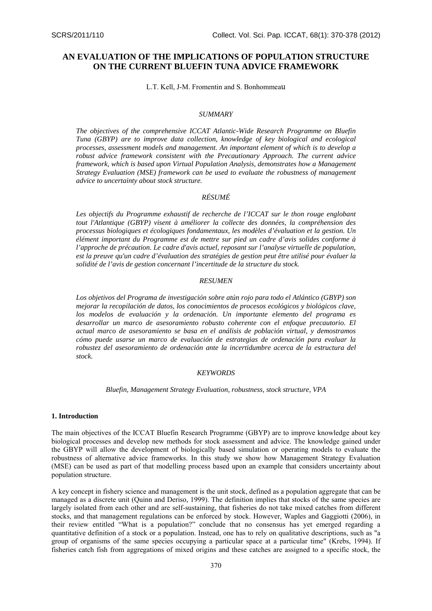# **AN EVALUATION OF THE IMPLICATIONS OF POPULATION STRUCTURE ON THE CURRENT BLUEFIN TUNA ADVICE FRAMEWORK**

L.T. Kell, J-M. Fromentin and S. Bonhommeau

#### *SUMMARY*

*The objectives of the comprehensive ICCAT Atlantic-Wide Research Programme on Bluefin Tuna (GBYP) are to improve data collection, knowledge of key biological and ecological processes, assessment models and management. An important element of which is to develop a robust advice framework consistent with the Precautionary Approach. The current advice framework, which is based upon Virtual Population Analysis, demonstrates how a Management Strategy Evaluation (MSE) framework can be used to evaluate the robustness of management advice to uncertainty about stock structure.* 

## *RÉSUMÉ*

Les objectifs du Programme exhaustif de recherche de l'ICCAT sur le thon rouge englobant *tout l'Atlantique (GBYP) visent à améliorer la collecte des données, la compréhension des processus biologiques et écologiques fondamentaux, les modèles d'évaluation et la gestion. Un élément important du Programme est de mettre sur pied un cadre d'avis solides conforme à l'approche de précaution. Le cadre d'avis actuel, reposant sur l'analyse virtuelle de population, est la preuve qu'un cadre d'évaluation des stratégies de gestion peut être utilisé pour évaluer la solidité de l'avis de gestion concernant l'incertitude de la structure du stock.*

#### *RESUMEN*

*Los objetivos del Programa de investigación sobre atún rojo para todo el Atlántico (GBYP) son mejorar la recopilación de datos, los conocimientos de procesos ecológicos y biológicos clave, los modelos de evaluación y la ordenación. Un importante elemento del programa es desarrollar un marco de asesoramiento robusto coherente con el enfoque precautorio. El actual marco de asesoramiento se basa en el análisis de población virtual, y demostramos cómo puede usarse un marco de evaluación de estrategias de ordenación para evaluar la robustez del asesoramiento de ordenación ante la incertidumbre acerca de la estructura del stock.* 

#### *KEYWORDS*

*Bluefin, Management Strategy Evaluation, robustness, stock structure, VPA* 

## **1. Introduction**

The main objectives of the ICCAT Bluefin Research Programme (GBYP) are to improve knowledge about key biological processes and develop new methods for stock assessment and advice. The knowledge gained under the GBYP will allow the development of biologically based simulation or operating models to evaluate the robustness of alternative advice frameworks. In this study we show how Management Strategy Evaluation (MSE) can be used as part of that modelling process based upon an example that considers uncertainty about population structure.

A key concept in fishery science and management is the unit stock, defined as a population aggregate that can be managed as a discrete unit (Quinn and Deriso, 1999). The definition implies that stocks of the same species are largely isolated from each other and are self-sustaining, that fisheries do not take mixed catches from different stocks, and that management regulations can be enforced by stock. However, Waples and Gaggiotti (2006), in their review entitled "What is a population?" conclude that no consensus has yet emerged regarding a quantitative definition of a stock or a population. Instead, one has to rely on qualitative descriptions, such as "a group of organisms of the same species occupying a particular space at a particular time" (Krebs, 1994). If fisheries catch fish from aggregations of mixed origins and these catches are assigned to a specific stock, the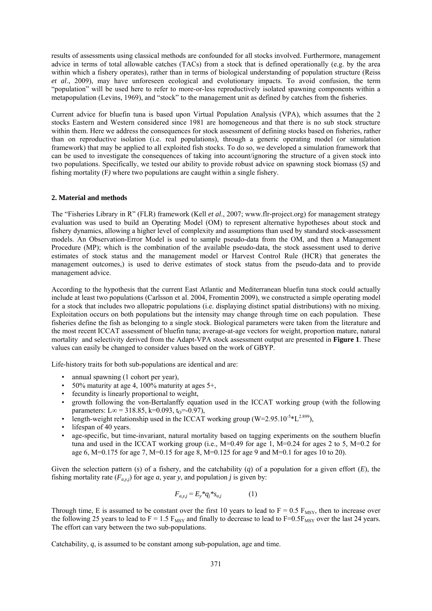results of assessments using classical methods are confounded for all stocks involved. Furthermore, management advice in terms of total allowable catches (TACs) from a stock that is defined operationally (e.g. by the area within which a fishery operates), rather than in terms of biological understanding of population structure (Reiss *et al*., 2009), may have unforeseen ecological and evolutionary impacts. To avoid confusion, the term "population" will be used here to refer to more-or-less reproductively isolated spawning components within a metapopulation (Levins, 1969), and "stock" to the management unit as defined by catches from the fisheries.

Current advice for bluefin tuna is based upon Virtual Population Analysis (VPA), which assumes that the 2 stocks Eastern and Western considered since 1981 are homogeneous and that there is no sub stock structure within them. Here we address the consequences for stock assessment of defining stocks based on fisheries, rather than on reproductive isolation (i.e. real populations), through a generic operating model (or simulation framework) that may be applied to all exploited fish stocks. To do so, we developed a simulation framework that can be used to investigate the consequences of taking into account/ignoring the structure of a given stock into two populations. Specifically, we tested our ability to provide robust advice on spawning stock biomass (*S)* and fishing mortality (F*)* where two populations are caught within a single fishery.

## **2. Material and methods**

The "Fisheries Library in R" (FLR) framework (Kell *et al*., 2007; www.flr-project.org) for management strategy evaluation was used to build an Operating Model (OM) to represent alternative hypotheses about stock and fishery dynamics, allowing a higher level of complexity and assumptions than used by standard stock-assessment models. An Observation-Error Model is used to sample pseudo-data from the OM, and then a Management Procedure (MP); which is the combination of the available pseudo-data, the stock assessment used to derive estimates of stock status and the management model or Harvest Control Rule (HCR) that generates the management outcomes,) is used to derive estimates of stock status from the pseudo-data and to provide management advice.

According to the hypothesis that the current East Atlantic and Mediterranean bluefin tuna stock could actually include at least two populations (Carlsson et al. 2004, Fromentin 2009), we constructed a simple operating model for a stock that includes two allopatric populations (i.e. displaying distinct spatial distributions) with no mixing. Exploitation occurs on both populations but the intensity may change through time on each population. These fisheries define the fish as belonging to a single stock. Biological parameters were taken from the literature and the most recent ICCAT assessment of bluefin tuna; average-at-age vectors for weight, proportion mature, natural mortality and selectivity derived from the Adapt-VPA stock assessment output are presented in **Figure 1**. These values can easily be changed to consider values based on the work of GBYP.

Life-history traits for both sub-populations are identical and are:

- annual spawning (1 cohort per year),
- 50% maturity at age 4, 100% maturity at ages  $5^+$ ,
- fecundity is linearly proportional to weight,
- growth following the von-Bertalanffy equation used in the ICCAT working group (with the following parameters: L∞ = 318.85, k=0.093, t<sub>0</sub>=-0.97),
- length-weight relationship used in the ICCAT working group  $(W=2.95.10^{-5}*L^{2.899})$ .
- lifespan of 40 years.
- age-specific, but time-invariant, natural mortality based on tagging experiments on the southern bluefin tuna and used in the ICCAT working group (i.e., M=0.49 for age 1, M=0.24 for ages 2 to 5, M=0.2 for age 6,  $M=0.175$  for age 7,  $M=0.15$  for age 8,  $M=0.125$  for age 9 and  $M=0.1$  for ages 10 to 20).

Given the selection pattern (s) of a fishery, and the catchability (q) of a population for a given effort  $(E)$ , the fishing mortality rate  $(F_{a,y,j})$  for age *a*, year *y*, and population *j* is given by:

$$
F_{a,y,j} = E_y * q_j * s_{a,j} \tag{1}
$$

Through time, E is assumed to be constant over the first 10 years to lead to  $F = 0.5$  F<sub>MSY</sub>, then to increase over the following 25 years to lead to  $F = 1.5$  F<sub>MSY</sub> and finally to decrease to lead to  $F=0.5F_{MSY}$  over the last 24 years. The effort can vary between the two sub-populations.

Catchability, *q*, is assumed to be constant among sub-population, age and time.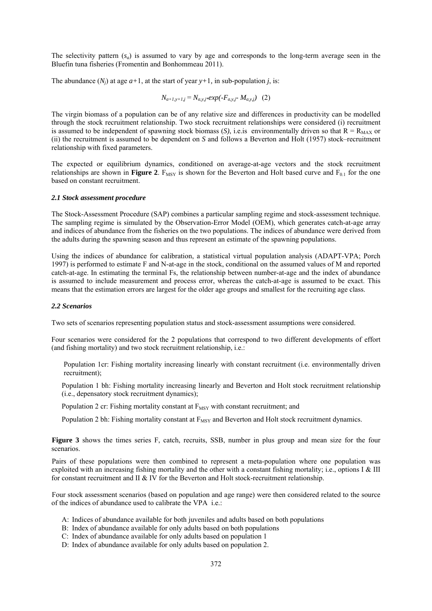The selectivity pattern (*sa*) is assumed to vary by age and corresponds to the long-term average seen in the Bluefin tuna fisheries (Fromentin and Bonhommeau 2011).

The abundance  $(N_i)$  at age  $a+1$ , at the start of year  $y+1$ , in sub-population *j*, is:

$$
N_{a+1,y+1,j} = N_{a,y,j} * exp(-F_{a,y,j} M_{a,y,j})
$$
 (2)

The virgin biomass of a population can be of any relative size and differences in productivity can be modelled through the stock recruitment relationship. Two stock recruitment relationships were considered (i) recruitment is assumed to be independent of spawning stock biomass (*S*), i.e. is environmentally driven so that  $R = R_{MAX}$  or (ii) the recruitment is assumed to be dependent on *S* and follows a Beverton and Holt (1957) stock–recruitment relationship with fixed parameters.

The expected or equilibrium dynamics, conditioned on average-at-age vectors and the stock recruitment relationships are shown in **Figure 2**.  $F_{MSY}$  is shown for the Beverton and Holt based curve and  $F_{0.1}$  for the one based on constant recruitment.

#### *2.1 Stock assessment procedure*

The Stock-Assessment Procedure (SAP) combines a particular sampling regime and stock-assessment technique. The sampling regime is simulated by the Observation-Error Model (OEM), which generates catch-at-age array and indices of abundance from the fisheries on the two populations. The indices of abundance were derived from the adults during the spawning season and thus represent an estimate of the spawning populations.

Using the indices of abundance for calibration, a statistical virtual population analysis (ADAPT-VPA; Porch 1997) is performed to estimate F and N-at-age in the stock, conditional on the assumed values of M and reported catch-at-age. In estimating the terminal Fs, the relationship between number-at-age and the index of abundance is assumed to include measurement and process error, whereas the catch-at-age is assumed to be exact. This means that the estimation errors are largest for the older age groups and smallest for the recruiting age class.

## *2.2 Scenarios*

Two sets of scenarios representing population status and stock-assessment assumptions were considered.

Four scenarios were considered for the 2 populations that correspond to two different developments of effort (and fishing mortality) and two stock recruitment relationship, i.e.:

Population 1cr: Fishing mortality increasing linearly with constant recruitment (i.e. environmentally driven recruitment);

Population 1 bh: Fishing mortality increasing linearly and Beverton and Holt stock recruitment relationship (i.e., depensatory stock recruitment dynamics);

Population 2 cr: Fishing mortality constant at  $F_{MSY}$  with constant recruitment; and

Population 2 bh: Fishing mortality constant at  $F_{MSY}$  and Beverton and Holt stock recruitment dynamics.

**Figure 3** shows the times series F, catch, recruits, SSB, number in plus group and mean size for the four scenarios.

Pairs of these populations were then combined to represent a meta-population where one population was exploited with an increasing fishing mortality and the other with a constant fishing mortality; i.e., options I & III for constant recruitment and II & IV for the Beverton and Holt stock-recruitment relationship.

Four stock assessment scenarios (based on population and age range) were then considered related to the source of the indices of abundance used to calibrate the VPA i.e.:

- A: Indices of abundance available for both juveniles and adults based on both populations
- B: Index of abundance available for only adults based on both populations
- C: Index of abundance available for only adults based on population 1
- D: Index of abundance available for only adults based on population 2.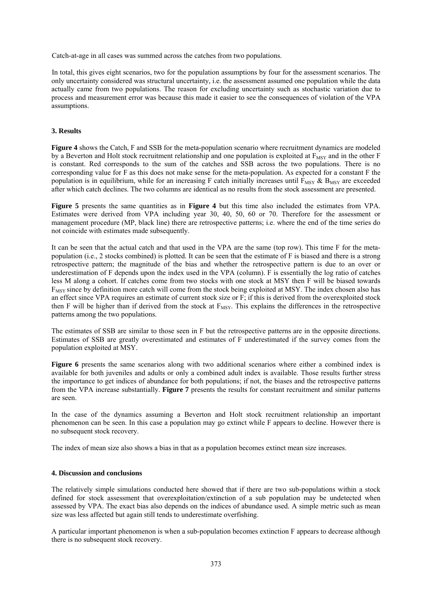Catch-at-age in all cases was summed across the catches from two populations.

In total, this gives eight scenarios, two for the population assumptions by four for the assessment scenarios. The only uncertainty considered was structural uncertainty, i.e. the assessment assumed one population while the data actually came from two populations. The reason for excluding uncertainty such as stochastic variation due to process and measurement error was because this made it easier to see the consequences of violation of the VPA assumptions.

## **3. Results**

**Figure 4** shows the Catch, F and SSB for the meta-population scenario where recruitment dynamics are modeled by a Beverton and Holt stock recruitment relationship and one population is exploited at  $F_{MSY}$  and in the other F is constant. Red corresponds to the sum of the catches and SSB across the two populations. There is no corresponding value for F as this does not make sense for the meta-population. As expected for a constant F the population is in equilibrium, while for an increasing F catch initially increases until  $F_{\text{MSV}}$  &  $B_{\text{MSV}}$  are exceeded after which catch declines. The two columns are identical as no results from the stock assessment are presented.

**Figure 5** presents the same quantities as in **Figure 4** but this time also included the estimates from VPA. Estimates were derived from VPA including year 30, 40, 50, 60 or 70. Therefore for the assessment or management procedure (MP, black line) there are retrospective patterns; i.e. where the end of the time series do not coincide with estimates made subsequently.

It can be seen that the actual catch and that used in the VPA are the same (top row). This time F for the metapopulation (i.e., 2 stocks combined) is plotted. It can be seen that the estimate of F is biased and there is a strong retrospective pattern; the magnitude of the bias and whether the retrospective pattern is due to an over or underestimation of F depends upon the index used in the VPA (column). F is essentially the log ratio of catches less M along a cohort. If catches come from two stocks with one stock at MSY then F will be biased towards F<sub>MSY</sub> since by definition more catch will come from the stock being exploited at MSY. The index chosen also has an effect since VPA requires an estimate of current stock size or F; if this is derived from the overexploited stock then F will be higher than if derived from the stock at  $F_{MSY}$ . This explains the differences in the retrospective patterns among the two populations.

The estimates of SSB are similar to those seen in F but the retrospective patterns are in the opposite directions. Estimates of SSB are greatly overestimated and estimates of F underestimated if the survey comes from the population exploited at MSY.

**Figure 6** presents the same scenarios along with two additional scenarios where either a combined index is available for both juveniles and adults or only a combined adult index is available. Those results further stress the importance to get indices of abundance for both populations; if not, the biases and the retrospective patterns from the VPA increase substantially. **Figure 7** presents the results for constant recruitment and similar patterns are seen.

In the case of the dynamics assuming a Beverton and Holt stock recruitment relationship an important phenomenon can be seen. In this case a population may go extinct while F appears to decline. However there is no subsequent stock recovery.

The index of mean size also shows a bias in that as a population becomes extinct mean size increases.

## **4. Discussion and conclusions**

The relatively simple simulations conducted here showed that if there are two sub-populations within a stock defined for stock assessment that overexploitation/extinction of a sub population may be undetected when assessed by VPA. The exact bias also depends on the indices of abundance used. A simple metric such as mean size was less affected but again still tends to underestimate overfishing.

A particular important phenomenon is when a sub-population becomes extinction F appears to decrease although there is no subsequent stock recovery.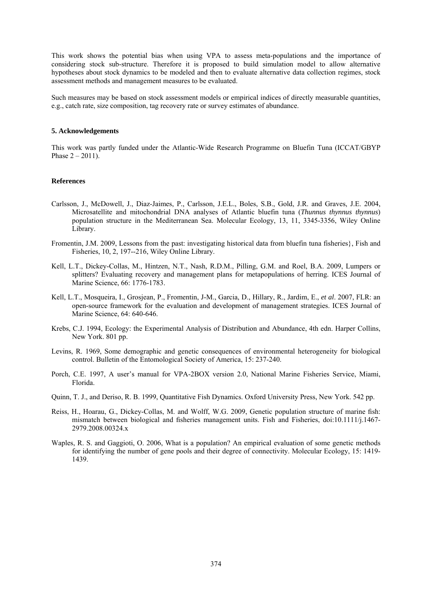This work shows the potential bias when using VPA to assess meta-populations and the importance of considering stock sub-structure. Therefore it is proposed to build simulation model to allow alternative hypotheses about stock dynamics to be modeled and then to evaluate alternative data collection regimes, stock assessment methods and management measures to be evaluated.

Such measures may be based on stock assessment models or empirical indices of directly measurable quantities, e.g., catch rate, size composition, tag recovery rate or survey estimates of abundance.

## **5. Acknowledgements**

This work was partly funded under the Atlantic-Wide Research Programme on Bluefin Tuna (ICCAT/GBYP Phase  $2 - 2011$ ).

#### **References**

- Carlsson, J., McDowell, J., Diaz-Jaimes, P., Carlsson, J.E.L., Boles, S.B., Gold, J.R. and Graves, J.E. 2004, Microsatellite and mitochondrial DNA analyses of Atlantic bluefin tuna (*Thunnus thynnus thynnus*) population structure in the Mediterranean Sea. Molecular Ecology, 13, 11, 3345-3356, Wiley Online Library.
- Fromentin, J.M. 2009, Lessons from the past: investigating historical data from bluefin tuna fisheries}, Fish and Fisheries, 10, 2, 197--216, Wiley Online Library.
- Kell, L.T., Dickey-Collas, M., Hintzen, N.T., Nash, R.D.M., Pilling, G.M. and Roel, B.A. 2009, Lumpers or splitters? Evaluating recovery and management plans for metapopulations of herring. ICES Journal of Marine Science, 66: 1776-1783.
- Kell, L.T., Mosqueira, I., Grosjean, P., Fromentin, J-M., Garcia, D., Hillary, R., Jardim, E., *et al*. 2007, FLR: an open-source framework for the evaluation and development of management strategies. ICES Journal of Marine Science, 64: 640-646.
- Krebs, C.J. 1994, Ecology: the Experimental Analysis of Distribution and Abundance, 4th edn. Harper Collins, New York. 801 pp.
- Levins, R. 1969, Some demographic and genetic consequences of environmental heterogeneity for biological control. Bulletin of the Entomological Society of America, 15: 237-240.
- Porch, C.E. 1997, A user's manual for VPA-2BOX version 2.0, National Marine Fisheries Service, Miami, Florida.
- Quinn, T. J., and Deriso, R. B. 1999, Quantitative Fish Dynamics. Oxford University Press, New York. 542 pp.
- Reiss, H., Hoarau, G., Dickey-Collas, M. and Wolff, W.G. 2009, Genetic population structure of marine fish: mismatch between biological and fisheries management units. Fish and Fisheries, doi:10.1111/j.1467- 2979.2008.00324.x
- Waples, R. S. and Gaggioti, O. 2006, What is a population? An empirical evaluation of some genetic methods for identifying the number of gene pools and their degree of connectivity. Molecular Ecology, 15: 1419- 1439.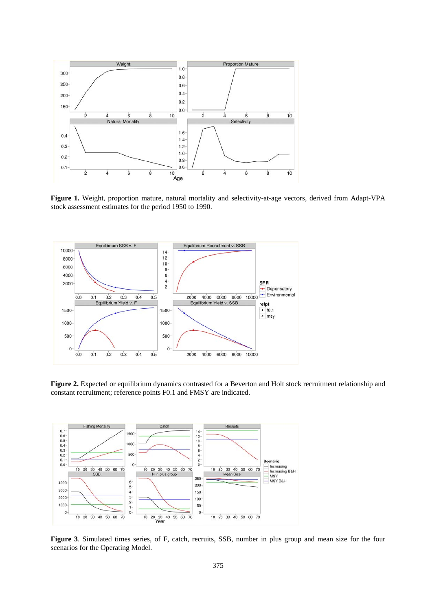

**Figure 1.** Weight, proportion mature, natural mortality and selectivity-at-age vectors, derived from Adapt-VPA stock assessment estimates for the period 1950 to 1990.



**Figure 2.** Expected or equilibrium dynamics contrasted for a Beverton and Holt stock recruitment relationship and constant recruitment; reference points F0.1 and FMSY are indicated.



**Figure 3**. Simulated times series, of F, catch, recruits, SSB, number in plus group and mean size for the four scenarios for the Operating Model.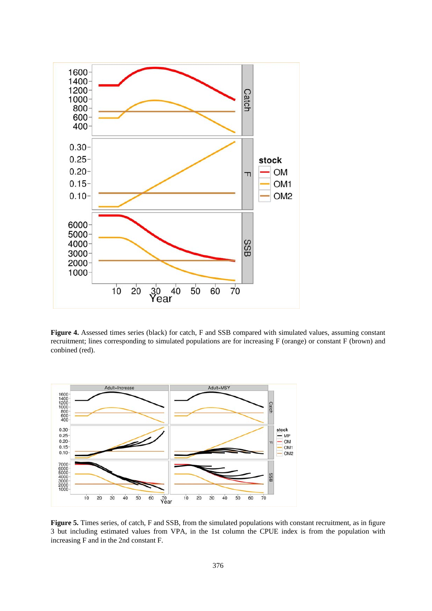

**Figure 4.** Assessed times series (black) for catch, F and SSB compared with simulated values, assuming constant recruitment; lines corresponding to simulated populations are for increasing F (orange) or constant F (brown) and conbined (red).



**Figure 5.** Times series, of catch, F and SSB, from the simulated populations with constant recruitment, as in figure 3 but including estimated values from VPA, in the 1st column the CPUE index is from the population with increasing F and in the 2nd constant F.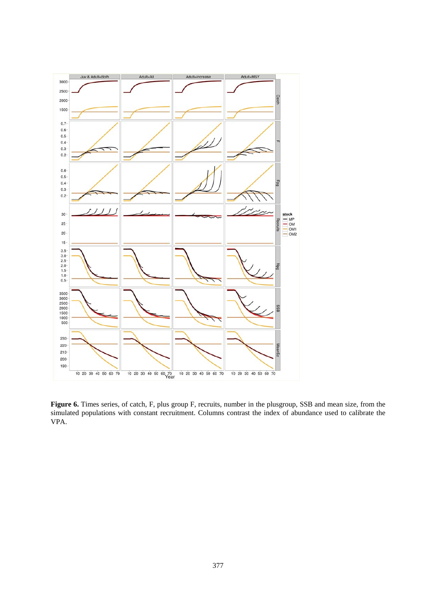

**Figure 6.** Times series, of catch, F, plus group F, recruits, number in the plusgroup, SSB and mean size, from the simulated populations with constant recruitment. Columns contrast the index of abundance used to calibrate the VPA.